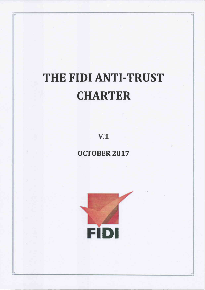# THE FIDI ANTI-TRUST **CHARTER**

 $V.1$ 

**OCTOBER 2017** 

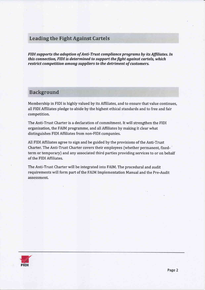## **Leading the Fight Against Cartels**

FIDI supports the adoption of Anti-Trust compliance programs by its Affiliates. In this connection. FIDI is determined to support the fight against cartels, which restrict competition among suppliers to the detriment of customers.

### **Background**

Membership in FIDI is highly valued by its Affiliates, and to ensure that value continues, all FIDI Affiliates pledge to abide by the highest ethical standards and to free and fair competition.

The Anti-Trust Charter is a declaration of commitment. It will strengthen the FIDI organisation, the FAIM programme, and all Affiliates by making it clear what distinguishes FIDI Affiliates from non-FlDI companies.

All FIDI Affiliates agree to sign and be guided by the provisions of the Anti-Trust Charter. The Anti-Trust Charter covers their employees (whether permanent, fixedterm or temporary) and any associated third parties providing services to or on behalf of the FIDI Affiliates.

The Anti-Trust Charter will be integrated into FAIM. The procedural and audit requirements will form part of the FAIM Implementation Manual and the Pre-Audit assessment.

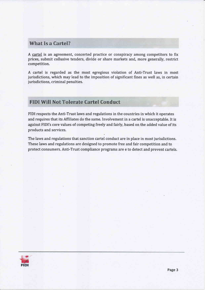## **What Is a Cartel?**

A cartel is an agreement, concerted practice or conspiracy among competitors to fix prices, submit collusive tenders, divide or share markets and, more generally, restrict competition.

A cartel is regarded as the most egregious violation of Anti-Trust laws in most jurisdictions, which may lead to the imposition of significant fines as well as, in certain jurisdictions, criminal penalties.

# **FIDI Will Not Tolerate Cartel Conduct**

FIDI respects the Anti-Trust laws and regulations in the countries in which it operates and requires that its Affiliates do the same. Involvement in a cartel is unacceptable. It is against FIDI's core values of competing freely and fairly, based on the added value of its products and services.

The laws and regulations that sanction cartel conduct are in place in most jurisdictions. These laws and regulations are designed to promote free and fair competition and to protect consumers. Anti-Trust compliance programs are e to detect and prevent cartels.

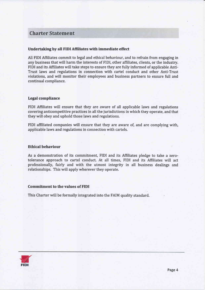## **Charter Statement**

#### Undertaking by all FIDI Affiliates with immediate effect

All FIDI Affiliates commit to legal and ethical behaviour, and to refrain from engaging in any business that will harm the interests of FIDI, other affiliates, clients, or the industry. FIDI and its Affiliates will take steps to ensure they are fully informed of applicable Anti-Trust laws and regulations in connection with cartel conduct and other Anti-Trust violations, and will monitor their employees and business partners to ensure full and continual compliance.

#### Legal compliance

FIDI Affiliates will ensure that they are aware of all applicable laws and regulations covering anticompetitive practices in all the jurisdictions in which they operate, and that they will obey and uphold those laws and regulations.

FIDI affiliated companies will ensure that they are aware of, and are complying with, applicable laws and regulations in connection with cartels.

#### Ethical behaviour

As a demonstration of its commitment, FIDI and its Affiliates pledge to take a zerotolerance approach to cartel conduct. At all times, FIDI and its Affiliates will act professionally, fairly and with the utmost integrity in all business dealings and relationships. This will apply wherever they operate.

#### Commitment to the values of FIDI

This Charter will be formally integrated into the FAIM quality standard.

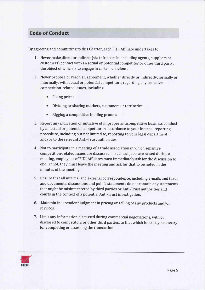# Code of Conduct

By agreeing and committing to this Charter, each FIDI Affiliate undertakes to:

- L. Never make direct or indirect (via third parties including agents, suppliers or customers) contact with an actual or potential competitor or other third party, the object of which is to engage in cartel behaviour.
- 2. Never propose or reach an agreement, whether directly or indirectly, formally or informally, with actual or potential competitors, regarding any sensitive comp etition-related issues, including:
	- Fixing prices
	- Dividing or sharing markets, customers or territories
	- . Rigging a competitive bidding process
- 3. Report any indication or initiative of improper anticompetitive business conduct by an actual or potential competitor in accordance to your internal reporting procedure, including but not limited to, reporting to your legal department and/or to the relevant Anti-Trust authorities.
- 4. Not to participate in a meeting of a trade association in which sensitive competition-related issues are discussed, If such subjects are raised during a meeting, employees of FIDI Affiliates must immediately ask for the discussion to end. If not, they must leave the meeting and ask for that to be noted in the minutes of the meeting.
- 5, Ensure that all internal and external correspondence, including e-mails and texts, and documents, discussions and public statements do not contain any statements that might be misinterpreted by third parties or Anti-Trust authorities and courts in the context of a potential Anti-Trust investigation.
- 6. Maintain independent judgment in pricing or selling of any products and/or services.
- 7. Limit any information discussed during commercial negotiations, with or disclosed to competitors or other third parties, to that which is strictly necessary for completing or assessing the transaction,